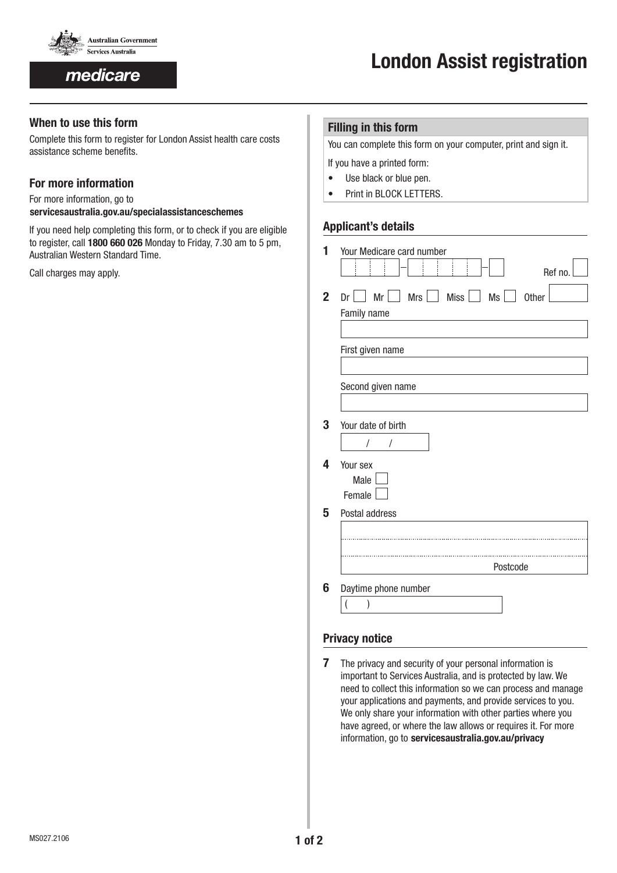

medicare

# **When to use this form**

Complete this form to register for London Assist health care costs assistance scheme benefits.

# **For more information**

For more information, go to

www.**servicesaustralia.gov.au/specialassistanceschemes**

If you need help completing this form, or to check if you are eligible to register, call **1800 660 026** Monday to Friday, 7.30 am to 5 pm, Australian Western Standard Time.

Call charges may apply.

## **Filling in this form**

You can complete this form on your computer, print and sign it.

- If you have a printed form:
- Use black or blue pen.
- Print in BLOCK LETTERS.

## **Applicant's details**

| 1              | Your Medicare card number<br>Ref no.                                                                  |
|----------------|-------------------------------------------------------------------------------------------------------|
| $\overline{2}$ | $Mr \perp\!\!\!\perp Mrs \perp\!\!\!\perp Miss \perp\!\!\!\perp Ms \perp\!\!\!\perp M$<br>Other<br>Dr |
|                | Family name                                                                                           |
|                |                                                                                                       |
|                | First given name                                                                                      |
|                | Second given name                                                                                     |
|                |                                                                                                       |
| 3              | Your date of birth                                                                                    |
|                | Ι<br>I                                                                                                |
| 4              | Your sex                                                                                              |
|                | Male                                                                                                  |
|                | Female                                                                                                |
| 5              | Postal address                                                                                        |
|                |                                                                                                       |
|                |                                                                                                       |
|                | Postcode                                                                                              |
|                |                                                                                                       |
| 6              | Daytime phone number                                                                                  |
|                | )                                                                                                     |

# **Privacy notice**

**7** The privacy and security of your personal information is important to Services Australia, and is protected by law. We need to collect this information so we can process and manage your applications and payments, and provide services to you. We only share your information with other parties where you have agreed, or where the law allows or requires it. For more information, go to servicesaustralia.gov.au/privacy